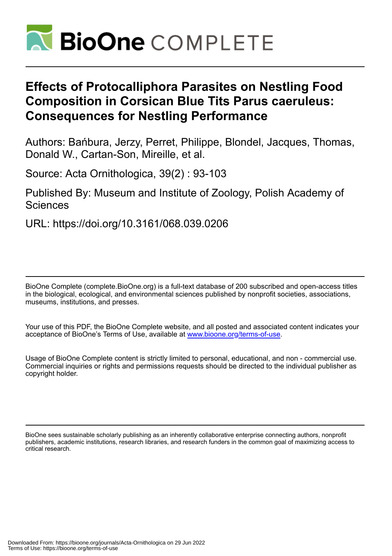

# **Effects of Protocalliphora Parasites on Nestling Food Composition in Corsican Blue Tits Parus caeruleus: Consequences for Nestling Performance**

Authors: Bańbura, Jerzy, Perret, Philippe, Blondel, Jacques, Thomas, Donald W., Cartan-Son, Mireille, et al.

Source: Acta Ornithologica, 39(2) : 93-103

Published By: Museum and Institute of Zoology, Polish Academy of **Sciences** 

URL: https://doi.org/10.3161/068.039.0206

BioOne Complete (complete.BioOne.org) is a full-text database of 200 subscribed and open-access titles in the biological, ecological, and environmental sciences published by nonprofit societies, associations, museums, institutions, and presses.

Your use of this PDF, the BioOne Complete website, and all posted and associated content indicates your acceptance of BioOne's Terms of Use, available at www.bioone.org/terms-of-use.

Usage of BioOne Complete content is strictly limited to personal, educational, and non - commercial use. Commercial inquiries or rights and permissions requests should be directed to the individual publisher as copyright holder.

BioOne sees sustainable scholarly publishing as an inherently collaborative enterprise connecting authors, nonprofit publishers, academic institutions, research libraries, and research funders in the common goal of maximizing access to critical research.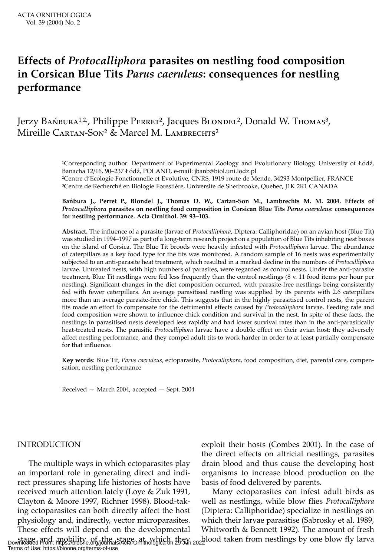## **Effects of** *Protocalliphora* **parasites on nestling food composition in Corsican Blue Tits** *Parus caeruleus***: consequences for nestling performance**

## Jerzy Bа́мвика<sup>1,2,</sup>, Philippe Pеккет<sup>2</sup>, Jacques Blondel<sup>2</sup>, Donald W. Tномаs<sup>3</sup>, Mireille CARTAN-Son<sup>2</sup> & Marcel M. LAMBRECHTS<sup>2</sup>

<sup>1</sup>Corresponding author: Department of Experimental Zoology and Evolutionary Biology, University of Łódź, Banacha 12/16, 90–237 Łódź, POLAND, e-mail: jbanb@biol.uni.lodz.pl ²Centre d'Ecologie Fonctionnelle et Evolutive, CNRS, 1919 route de Mende, 34293 Montpellier, FRANCE ³Centre de Recherché en Biologie Forestière, Universite de Sherbrooke, Quebec, J1K 2R1 CANADA

#### **Bańbura J., Perret P., Blondel J., Thomas D. W., Cartan-Son M., Lambrechts M. M. 2004. Effects of**  *Protocalliphora* **parasites on nestling food composition in Corsican Blue Tits** *Parus caeruleus***: consequences for nestling performance. Acta Ornithol. 39: 93–103.**

**Abstract.** The influence of a parasite (larvae of *Protocalliphora*, Diptera: Calliphoridae) on an avian host (Blue Tit) was studied in 1994–1997 as part of a long-term research project on a population of Blue Tits inhabiting nest boxes on the island of Corsica. The Blue Tit broods were heavily infested with *Protocalliphora* larvae. The abundance of caterpillars as a key food type for the tits was monitored. A random sample of 16 nests was experimentally subjected to an anti-parasite heat treatment, which resulted in a marked decline in the numbers of *Protocalliphora* larvae. Untreated nests, with high numbers of parasites, were regarded as control nests. Under the anti-parasite treatment, Blue Tit nestlings were fed less frequently than the control nestlings (8 v. 11 food items per hour per nestling). Significant changes in the diet composition occurred, with parasite-free nestlings being consistently fed with fewer caterpillars. An average parasitised nestling was supplied by its parents with 2.6 caterpillars more than an average parasite-free chick. This suggests that in the highly parasitised control nests, the parent tits made an effort to compensate for the detrimental effects caused by *Protocalliphora* larvae. Feeding rate and food composition were shown to influence chick condition and survival in the nest. In spite of these facts, the nestlings in parasitised nests developed less rapidly and had lower survival rates than in the anti-parasitically heat-treated nests. The parasitic *Protocalliphora* larvae have a double effect on their avian host: they adversely affect nestling performance, and they compel adult tits to work harder in order to at least partially compensate for that influence.

**Key words**: Blue Tit, *Parus caeruleus*, ectoparasite, *Protocalliphora*, food composition, diet, parental care, compensation, nestling performance

Received — March 2004, accepted — Sept. 2004

### INTRODUCTION

The multiple ways in which ectoparasites play an important role in generating direct and indirect pressures shaping life histories of hosts have received much attention lately (Loye & Zuk 1991, Clayton & Moore 1997, Richner 1998). Blood-taking ectoparasites can both directly affect the host physiology and, indirectly, vector microparasites. These effects will depend on the developmental stage, and mobility of the stage at which they a blood taken from nestlings by one blow fly larva<br>Downloaded From: https://bioone.org/journals/Acta-Ornithologica on 29 Jun 2022 Terms of Use: https://bioone.org/terms-of-use

exploit their hosts (Combes 2001). In the case of the direct effects on altricial nestlings, parasites drain blood and thus cause the developing host organisms to increase blood production on the basis of food delivered by parents.

Many ectoparasites can infest adult birds as well as nestlings, while blow flies *Protocalliphora* (Diptera: Calliphoridae) specialize in nestlings on which their larvae parasitise (Sabrosky et al. 1989, Whitworth & Bennett 1992). The amount of fresh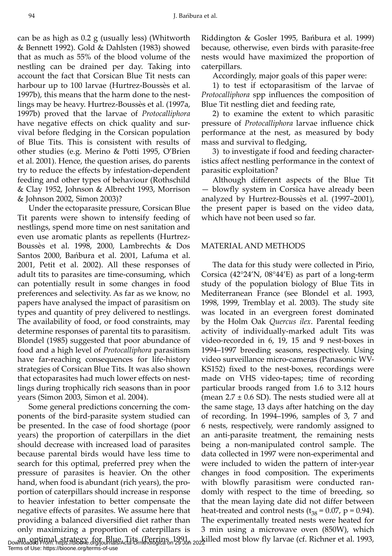can be as high as 0.2 g (usually less) (Whitworth & Bennett 1992). Gold & Dahlsten (1983) showed that as much as 55% of the blood volume of the nestling can be drained per day. Taking into account the fact that Corsican Blue Tit nests can harbour up to 100 larvae (Hurtrez-Boussès et al. 1997b), this means that the harm done to the nestlings may be heavy. Hurtrez-Boussès et al. (1997a, 1997b) proved that the larvae of *Protocalliphora* have negative effects on chick quality and survival before fledging in the Corsican population of Blue Tits. This is consistent with results of other studies (e.g. Merino & Potti 1995, O'Brien et al. 2001). Hence, the question arises, do parents try to reduce the effects by infestation-dependent feeding and other types of behaviour (Rothschild & Clay 1952, Johnson & Albrecht 1993, Morrison & Johnson 2002, Simon 2003)?

Under the ectoparasite pressure, Corsican Blue Tit parents were shown to intensify feeding of nestlings, spend more time on nest sanitation and even use aromatic plants as repellents (Hurtrez-Boussès et al. 1998, 2000, Lambrechts & Dos Santos 2000, Bańbura et al. 2001, Lafuma et al. 2001, Petit et al. 2002). All these responses of adult tits to parasites are time-consuming, which can potentially result in some changes in food preferences and selectivity. As far as we know, no papers have analysed the impact of parasitism on types and quantity of prey delivered to nestlings. The availability of food, or food constraints, may determine responses of parental tits to parasitism. Blondel (1985) suggested that poor abundance of food and a high level of *Protocalliphora* parasitism have far-reaching consequences for life-history strategies of Corsican Blue Tits. It was also shown that ectoparasites had much lower effects on nestlings during trophically rich seasons than in poor years (Simon 2003, Simon et al. 2004).

Some general predictions concerning the components of the bird-parasite system studied can be presented. In the case of food shortage (poor years) the proportion of caterpillars in the diet should decrease with increased load of parasites because parental birds would have less time to search for this optimal, preferred prey when the pressure of parasites is heavier. On the other hand, when food is abundant (rich years), the proportion of caterpillars should increase in response to heavier infestation to better compensate the negative effects of parasites. We assume here that providing a balanced diversified diet rather than only maximizing a proportion of caterpillars is an optimal strategy for Blue Tits (Perrins 1991, and illed most blow fly larvae (cf. Richner et al. 1993, bownloaded From: https://bioone.org/journals/Acta-Ornithologica on 29 Jun 2022 Terms of Use: https://bioone.org/terms-of-use

Riddington & Gosler 1995, Bańbura et al. 1999) because, otherwise, even birds with parasite-free nests would have maximized the proportion of caterpillars.

Accordingly, major goals of this paper were:

1) to test if ectoparasitism of the larvae of *Protocalliphora* spp influences the composition of Blue Tit nestling diet and feeding rate,

2) to examine the extent to which parasitic pressure of *Protocalliphora* larvae influence chick performance at the nest, as measured by body mass and survival to fledging,

3) to investigate if food and feeding characteristics affect nestling performance in the context of parasitic exploitation?

Although different aspects of the Blue Tit — blowfly system in Corsica have already been analyzed by Hurtrez-Boussès et al. (1997–2001), the present paper is based on the video data, which have not been used so far.

### MATERIAL AND METHODS

The data for this study were collected in Pirio, Corsica (42°24'N, 08°44'E) as part of a long-term study of the population biology of Blue Tits in Mediterranean France (see Blondel et al. 1993, 1998, 1999, Tremblay et al. 2003). The study site was located in an evergreen forest dominated by the Holm Oak *Quercus ilex*. Parental feeding activity of individually-marked adult Tits was video-recorded in 6, 19, 15 and 9 nest-boxes in 1994–1997 breeding seasons, respectively. Using video surveillance micro-cameras (Panasonic WV-KS152) fixed to the nest-boxes, recordings were made on VHS video-tapes; time of recording particular broods ranged from 1.6 to 3.12 hours (mean  $2.7 \pm 0.6$  SD). The nests studied were all at the same stage, 13 days after hatching on the day of recording. In 1994–1996, samples of 3, 7 and 6 nests, respectively, were randomly assigned to an anti-parasite treatment, the remaining nests being a non-manipulated control sample. The data collected in 1997 were non-experimental and were included to widen the pattern of inter-year changes in food composition. The experiments with blowfly parasitism were conducted randomly with respect to the time of breeding, so that the mean laying date did not differ between heat-treated and control nests ( $t_{38}$  = 0.07, p = 0.94). The experimentally treated nests were heated for 3 min using a microwave oven (850W), which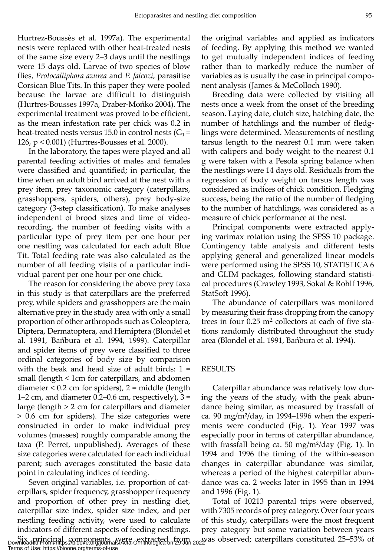Hurtrez-Boussès et al. 1997a). The experimental nests were replaced with other heat-treated nests of the same size every 2–3 days until the nestlings were 15 days old. Larvae of two species of blow flies, *Protocalliphora azurea* and *P. falcozi*, parasitise Corsican Blue Tits. In this paper they were pooled because the larvae are difficult to distinguish (Hurtres-Bousses 1997a, Draber-Mońko 2004). The experimental treatment was proved to be efficient, as the mean infestation rate per chick was 0.2 in heat-treated nests versus 15.0 in control nests  $(G_1 = 126)$ 126, p < 0.001) (Hurtres-Bousses et al. 2000).

In the laboratory, the tapes were played and all parental feeding activities of males and females were classified and quantified; in particular, the time when an adult bird arrived at the nest with a prey item, prey taxonomic category (caterpillars, grasshoppers, spiders, others), prey body-size category (3-step classification). To make analyses independent of brood sizes and time of videorecording, the number of feeding visits with a particular type of prey item per one hour per one nestling was calculated for each adult Blue Tit. Total feeding rate was also calculated as the number of all feeding visits of a particular individual parent per one hour per one chick.

The reason for considering the above prey taxa in this study is that caterpillars are the preferred prey, while spiders and grasshoppers are the main alternative prey in the study area with only a small proportion of other arthropods such as Coleoptera, Diptera, Dermatoptera, and Hemiptera (Blondel et al. 1991, Bańbura et al. 1994, 1999). Caterpillar and spider items of prey were classified to three ordinal categories of body size by comparison with the beak and head size of adult birds:  $1 =$ small (length < 1cm for caterpillars, and abdomen diameter  $< 0.2$  cm for spiders),  $2 =$  middle (length 1–2 cm, and diameter  $0.2$ – $0.6$  cm, respectively),  $3 =$ large (length > 2 cm for caterpillars and diameter > 0.6 cm for spiders). The size categories were constructed in order to make individual prey volumes (masses) roughly comparable among the taxa (P. Perret, unpublished). Averages of these size categories were calculated for each individual parent; such averages constituted the basic data point in calculating indices of feeding.

Seven original variables, i.e. proportion of caterpillars, spider frequency, grasshopper frequency and proportion of other prey in nestling diet, caterpillar size index, spider size index, and per nestling feeding activity, were used to calculate indicators of different aspects of feeding nestlings.

Terms of Use: https://bioone.org/terms-of-use

the original variables and applied as indicators of feeding. By applying this method we wanted to get mutually independent indices of feeding rather than to markedly reduce the number of variables as is usually the case in principal component analysis (James & McColloch 1990).

Breeding data were collected by visiting all nests once a week from the onset of the breeding season. Laying date, clutch size, hatching date, the number of hatchlings and the number of fledglings were determined. Measurements of nestling tarsus length to the nearest 0.1 mm were taken with calipers and body weight to the nearest 0.1 g were taken with a Pesola spring balance when the nestlings were 14 days old. Residuals from the regression of body weight on tarsus length was considered as indices of chick condition. Fledging success, being the ratio of the number of fledging to the number of hatchlings, was considered as a measure of chick performance at the nest.

Principal components were extracted applying varimax rotation using the SPSS 10 package. Contingency table analysis and different tests applying general and generalized linear models were performed using the SPSS 10, STATISTICA 6 and GLIM packages, following standard statistical procedures (Crawley 1993, Sokal & Rohlf 1996, StatSoft 1996).

The abundance of caterpillars was monitored by measuring their frass dropping from the canopy trees in four 0.25 m<sup>2</sup> collectors at each of five stations randomly distributed throughout the study area (Blondel et al. 1991, Bańbura et al. 1994).

#### RESULTS

Caterpillar abundance was relatively low during the years of the study, with the peak abundance being similar, as measured by frassfall of ca. 90 mg/m²/day, in 1994–1996 when the experiments were conducted (Fig. 1). Year 1997 was especially poor in terms of caterpillar abundance, with frassfall being ca. 50 mg/m²/day (Fig. 1). In 1994 and 1996 the timing of the within-season changes in caterpillar abundance was similar, whereas a period of the highest caterpillar abundance was ca. 2 weeks later in 1995 than in 1994 and 1996 (Fig. 1).

Six principal components were extracted from <sub>20</sub> was observed; caterpillars constituted 25–53% of<br>Downloaded From:https://bioone.org/journals/Acta-Ornithologica on 29 Jun 2022 Total of 10213 parental trips were observed, with 7305 records of prey category. Over four years of this study, caterpillars were the most frequent prey category but some variation between years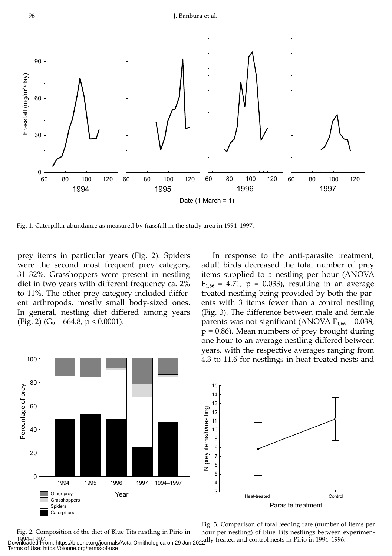#### 96 J. Bańbura et al.



Fig. 1. Caterpillar abundance as measured by frassfall in the study area in 1994–1997.

prey items in particular years (Fig. 2). Spiders were the second most frequent prey category, 31–32%. Grasshoppers were present in nestling diet in two years with different frequency ca. 2% to 11%. The other prey category included different arthropods, mostly small body-sized ones. In general, nestling diet differed among years (Fig. 2) ( $G_9$  = 664.8, p < 0.0001).

In response to the anti-parasite treatment, adult birds decreased the total number of prey items supplied to a nestling per hour (ANOVA  $F_{1,66} = 4.71$ , p = 0.033), resulting in an average treated nestling being provided by both the parents with 3 items fewer than a control nestling (Fig. 3). The difference between male and female parents was not significant (ANOVA  $F_{1,66} = 0.038$ ,  $p = 0.86$ ). Mean numbers of prey brought during one hour to an average nestling differed between years, with the respective averages ranging from 4.3 to 11.6 for nestlings in heat-treated nests and



Fig. 2. Composition of the diet of Blue Tits nestling in Pirio in 1994–1997. tally treated and control nests in Pirio in 1994–1996. Downloaded From: https://bioone.org/journals/Acta-Ornithologica on 29 Jun 2022 Terms of Use: https://bioone.org/terms-of-use

Fig. 3. Comparison of total feeding rate (number of items per hour per nestling) of Blue Tits nestlings between experimen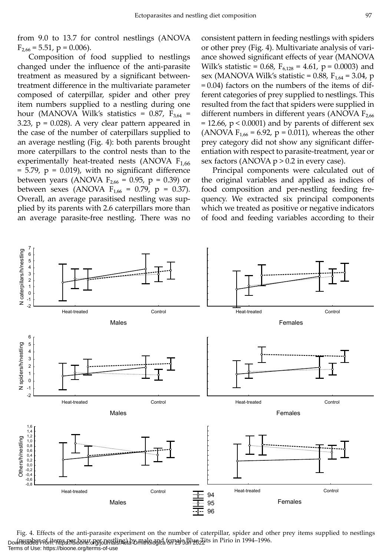from 9.0 to 13.7 for control nestlings (ANOVA  $F_{2,66} = 5.51$ , p = 0.006).

Composition of food supplied to nestlings changed under the influence of the anti-parasite treatment as measured by a significant betweentreatment difference in the multivariate parameter composed of caterpillar, spider and other prey item numbers supplied to a nestling during one hour (MANOVA Wilk's statistics =  $0.87$ ,  $F_{3.64}$  = 3.23,  $p = 0.028$ ). A very clear pattern appeared in the case of the number of caterpillars supplied to an average nestling (Fig. 4): both parents brought more caterpillars to the control nests than to the experimentally heat-treated nests (ANOVA  $F_{1,66}$ )  $= 5.79$ ,  $p = 0.019$ ), with no significant difference between years (ANOVA  $F_{2,66} = 0.95$ , p = 0.39) or between sexes (ANOVA  $F_{1,66} = 0.79$ , p = 0.37). Overall, an average parasitised nestling was supplied by its parents with 2.6 caterpillars more than an average parasite-free nestling. There was no consistent pattern in feeding nestlings with spiders or other prey (Fig. 4). Multivariate analysis of variance showed significant effects of year (MANOVA Wilk's statistic = 0.68,  $F_{6,128} = 4.61$ , p = 0.0003) and sex (MANOVA Wilk's statistic = 0.88,  $F_{1,64}$  = 3.04, p = 0.04) factors on the numbers of the items of different categories of prey supplied to nestlings. This resulted from the fact that spiders were supplied in different numbers in different years (ANOVA  $F_{2.66}$  $= 12.66$ ,  $p < 0.0001$ ) and by parents of different sex (ANOVA  $F_{1,66}$  = 6.92, p = 0.011), whereas the other prey category did not show any significant differentiation with respect to parasite-treatment, year or sex factors (ANOVA  $p > 0.2$  in every case).

Principal components were calculated out of the original variables and applied as indices of food composition and per-nestling feeding frequency. We extracted six principal components which we treated as positive or negative indicators of food and feeding variables according to their



Fig. 4. Effects of the anti-parasite experiment on the number of caterpillar, spider and other prey items supplied to nestlings Downloaded From the personal personal personal and female and female and perfective in Pirio in 1994–1996. Terms of Use: https://bioone.org/terms-of-use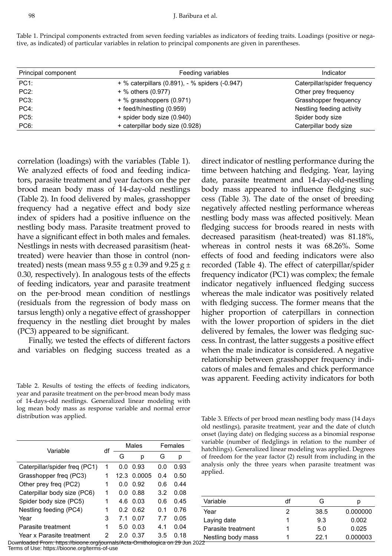Table 1. Principal components extracted from seven feeding variables as indicators of feeding traits. Loadings (positive or negative, as indicated) of particular variables in relation to principal components are given in parentheses.

| Principal component | Feeding variables                              | Indicator                    |  |  |
|---------------------|------------------------------------------------|------------------------------|--|--|
| $PC1$ :             | + % caterpillars (0.891), - % spiders (-0.947) | Caterpillar/spider frequency |  |  |
| $PC2$ :             | + % others (0.977)                             | Other prey frequency         |  |  |
| PC <sub>3</sub> :   | + % grasshoppers (0.971)                       | Grasshopper frequency        |  |  |
| $PC4$ :             | + feed/h/nestling (0.959)                      | Nestling feeding activity    |  |  |
| <b>PC5:</b>         | + spider body size (0.940)                     | Spider body size             |  |  |
| PC <sub>6</sub> :   | + caterpillar body size (0.928)                | Caterpillar body size        |  |  |

correlation (loadings) with the variables (Table 1). We analyzed effects of food and feeding indicators, parasite treatment and year factors on the per brood mean body mass of 14-day-old nestlings (Table 2). In food delivered by males, grasshopper frequency had a negative effect and body size index of spiders had a positive influence on the nestling body mass. Parasite treatment proved to have a significant effect in both males and females. Nestlings in nests with decreased parasitism (heattreated) were heavier than those in control (nontreated) nests (mean mass  $9.55$  g  $\pm$  0.39 and  $9.25$  g  $\pm$ 0.30, respectively). In analogous tests of the effects of feeding indicators, year and parasite treatment on the per-brood mean condition of nestlings (residuals from the regression of body mass on tarsus length) only a negative effect of grasshopper frequency in the nestling diet brought by males (PC3) appeared to be significant.

Finally, we tested the effects of different factors and variables on fledging success treated as a

Table 2. Results of testing the effects of feeding indicators, year and parasite treatment on the per-brood mean body mass of 14-days-old nestlings. Generalized linear modeling with log mean body mass as response variable and normal error distribution was applied.

| Variable                      |   | Males |        | Females |      |
|-------------------------------|---|-------|--------|---------|------|
|                               |   | G     | р      | G       | р    |
| Caterpillar/spider freq (PC1) | 1 | ი ი   | 0.93   | 0.0     | 0.93 |
| Grasshopper freq (PC3)        | 1 | 12.3  | 0.0005 | 04      | ი 50 |
| Other prey freg (PC2)         | 1 | ი ი   | 0.92   | 0.6     | በ 44 |
| Caterpillar body size (PC6)   | 1 | 0 O   | 0.88   | 3.2     | 0.08 |
| Spider body size (PC5)        | 1 | 46    | 0 Q3   | 0.6     | 0 45 |
| Nestling feeding (PC4)        | 1 | 02    | . በ 62 | 01      | 0.76 |
| Year                          | 3 | 71    | 0.07   | 77      | 0.05 |
| Parasite treatment            | 1 | 50    | 0 Q3   | 41      | 0.04 |
| Year x Parasite treatment     | 2 | 2 0   | 0.37   | 3.5     | 0 18 |

Downloaded From: https://bioone.org/journals/Acta-Ornithologica on 29 Jun 2022 Terms of Use: https://bioone.org/terms-of-use

time between hatching and fledging. Year, laying date, parasite treatment and 14-day-old-nestling body mass appeared to influence fledging success (Table 3). The date of the onset of breeding negatively affected nestling performance whereas nestling body mass was affected positively. Mean fledging success for broods reared in nests with decreased parasitism (heat-treated) was 81.18%, whereas in control nests it was 68.26%. Some effects of food and feeding indicators were also recorded (Table 4). The effect of caterpillar/spider frequency indicator (PC1) was complex; the female indicator negatively influenced fledging success whereas the male indicator was positively related with fledging success. The former means that the higher proportion of caterpillars in connection with the lower proportion of spiders in the diet delivered by females, the lower was fledging success. In contrast, the latter suggests a positive effect when the male indicator is considered. A negative relationship between grasshopper frequency indicators of males and females and chick performance was apparent. Feeding activity indicators for both

direct indicator of nestling performance during the

Table 3. Effects of per brood mean nestling body mass (14 days old nestlings), parasite treatment, year and the date of clutch onset (laying date) on fledging success as a binomial response variable (number of fledglings in relation to the number of hatchlings). Generalized linear modeling was applied. Degrees of freedom for the year factor (2) result from including in the analysis only the three years when parasite treatment was applied.

| Variable           | df | G    | D        |
|--------------------|----|------|----------|
| Year               |    | 38.5 | 0.000000 |
| Laying date        |    | 9.3  | 0.002    |
| Parasite treatment |    | 5.0  | 0.025    |
| Nestling body mass |    | 221  | 0.000003 |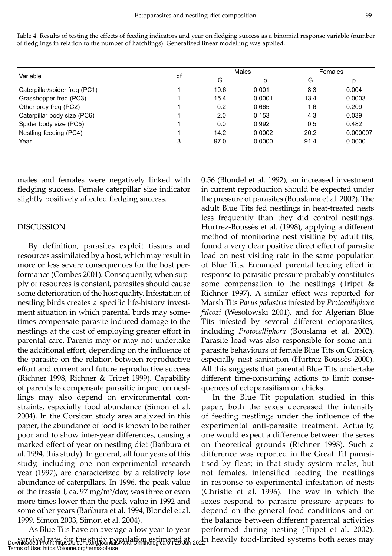Table 4. Results of testing the effects of feeding indicators and year on fledging success as a binomial response variable (number of fledglings in relation to the number of hatchlings). Generalized linear modelling was applied.

| Variable                      | df | Males |        | Females |          |
|-------------------------------|----|-------|--------|---------|----------|
|                               |    | G     |        | G       |          |
| Caterpillar/spider freq (PC1) |    | 10.6  | 0.001  | 8.3     | 0.004    |
| Grasshopper freq (PC3)        |    | 15.4  | 0.0001 | 13.4    | 0.0003   |
| Other prey freq (PC2)         |    | 0.2   | 0.665  | 1.6     | 0.209    |
| Caterpillar body size (PC6)   |    | 2.0   | 0.153  | 4.3     | 0.039    |
| Spider body size (PC5)        |    | 0.0   | 0.992  | 0.5     | 0.482    |
| Nestling feeding (PC4)        |    | 14.2  | 0.0002 | 20.2    | 0.000007 |
| Year                          |    | 97.0  | 0.0000 | 91.4    | 0.0000   |

males and females were negatively linked with fledging success. Female caterpillar size indicator slightly positively affected fledging success.

## DISCUSSION

By definition, parasites exploit tissues and resources assimilated by a host, which may result in more or less severe consequences for the host performance (Combes 2001). Consequently, when supply of resources is constant, parasites should cause some deterioration of the host quality. Infestation of nestling birds creates a specific life-history investment situation in which parental birds may sometimes compensate parasite-induced damage to the nestlings at the cost of employing greater effort in parental care. Parents may or may not undertake the additional effort, depending on the influence of the parasite on the relation between reproductive effort and current and future reproductive success (Richner 1998, Richner & Tripet 1999). Capability of parents to compensate parasitic impact on nestlings may also depend on environmental constraints, especially food abundance (Simon et al. 2004). In the Corsican study area analyzed in this paper, the abundance of food is known to be rather poor and to show inter-year differences, causing a marked effect of year on nestling diet (Bańbura et al. 1994, this study). In general, all four years of this study, including one non-experimental research year (1997), are characterized by a relatively low abundance of caterpillars. In 1996, the peak value of the frassfall, ca. 97 mg/m²/day, was three or even more times lower than the peak value in 1992 and some other years (Bańbura et al. 1994, Blondel et al. 1999, Simon 2003, Simon et al. 2004).

As Blue Tits have on average a low year-to-year survival rate, for the study population estimated at <br>Downloaded From: https://bioone.org/journals/Acta-Ornithologica on 29 Jun 2022 Terms of Use: https://bioone.org/terms-of-use

0.56 (Blondel et al. 1992), an increased investment in current reproduction should be expected under the pressure of parasites (Bouslama et al. 2002). The adult Blue Tits fed nestlings in heat-treated nests less frequently than they did control nestlings. Hurtrez-Boussès et al. (1998), applying a different method of monitoring nest visiting by adult tits, found a very clear positive direct effect of parasite load on nest visiting rate in the same population of Blue Tits. Enhanced parental feeding effort in response to parasitic pressure probably constitutes some compensation to the nestlings (Tripet & Richner 1997). A similar effect was reported for Marsh Tits *Parus palustris* infested by *Protocalliphora falcozi* (Wesołowski 2001), and for Algerian Blue Tits infested by several different ectoparasites, including *Protocalliphora* (Bouslama et al. 2002). Parasite load was also responsible for some antiparasite behaviours of female Blue Tits on Corsica, especially nest sanitation (Hurtrez-Boussès 2000). All this suggests that parental Blue Tits undertake different time-consuming actions to limit consequences of ectoparasitism on chicks.

In the Blue Tit population studied in this paper, both the sexes decreased the intensity of feeding nestlings under the influence of the experimental anti-parasite treatment. Actually, one would expect a difference between the sexes on theoretical grounds (Richner 1998). Such a difference was reported in the Great Tit parasitised by fleas; in that study system males, but not females, intensified feeding the nestlings in response to experimental infestation of nests (Christie et al. 1996). The way in which the sexes respond to parasite pressure appears to depend on the general food conditions and on the balance between different parental activities performed during nesting (Tripet et al. 2002).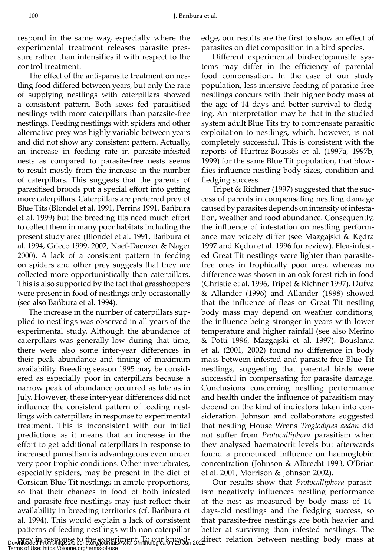respond in the same way, especially where the experimental treatment releases parasite pressure rather than intensifies it with respect to the control treatment.

The effect of the anti-parasite treatment on nestling food differed between years, but only the rate of supplying nestlings with caterpillars showed a consistent pattern. Both sexes fed parasitised nestlings with more caterpillars than parasite-free nestlings. Feeding nestlings with spiders and other alternative prey was highly variable between years and did not show any consistent pattern. Actually, an increase in feeding rate in parasite-infested nests as compared to parasite-free nests seems to result mostly from the increase in the number of caterpillars. This suggests that the parents of parasitised broods put a special effort into getting more caterpillars. Caterpillars are preferred prey of Blue Tits (Blondel et al. 1991, Perrins 1991, Bańbura et al. 1999) but the breeding tits need much effort to collect them in many poor habitats including the present study area (Blondel et al. 1991, Bańbura et al. 1994, Grieco 1999, 2002, Naef-Daenzer & Nager 2000). A lack of a consistent pattern in feeding on spiders and other prey suggests that they are collected more opportunistically than caterpillars. This is also supported by the fact that grasshoppers were present in food of nestlings only occasionally (see also Bańbura et al. 1994).

The increase in the number of caterpillars supplied to nestlings was observed in all years of the experimental study. Although the abundance of caterpillars was generally low during that time, there were also some inter-year differences in their peak abundance and timing of maximum availability. Breeding season 1995 may be considered as especially poor in caterpillars because a narrow peak of abundance occurred as late as in July. However, these inter-year differences did not influence the consistent pattern of feeding nestlings with caterpillars in response to experimental treatment. This is inconsistent with our initial predictions as it means that an increase in the effort to get additional caterpillars in response to increased parasitism is advantageous even under very poor trophic conditions. Other invertebrates, especially spiders, may be present in the diet of Corsican Blue Tit nestlings in ample proportions, so that their changes in food of both infested and parasite-free nestlings may just reflect their availability in breeding territories (cf. Bańbura et al. 1994). This would explain a lack of consistent patterns of feeding nestlings with non-caterpillar

edge, our results are the first to show an effect of parasites on diet composition in a bird species.

Different experimental bird-ectoparasite systems may differ in the efficiency of parental food compensation. In the case of our study population, less intensive feeding of parasite-free nestlings concurs with their higher body mass at the age of 14 days and better survival to fledging. An interpretation may be that in the studied system adult Blue Tits try to compensate parasitic exploitation to nestlings, which, however, is not completely successful. This is consistent with the reports of Hurtrez-Boussès et al. (1997a, 1997b, 1999) for the same Blue Tit population, that blowflies influence nestling body sizes, condition and fledging success.

Tripet & Richner (1997) suggested that the success of parents in compensating nestling damage caused by parasites depends on intensity of infestation, weather and food abundance. Consequently, the influence of infestation on nestling performance may widely differ (see Mazgajski & Kędra 1997 and Kędra et al. 1996 for review). Flea-infested Great Tit nestlings were lighter than parasitefree ones in trophically poor area, whereas no difference was shown in an oak forest rich in food (Christie et al. 1996, Tripet & Richner 1997). Dufva & Allander (1996) and Allander (1998) showed that the influence of fleas on Great Tit nestling body mass may depend on weather conditions, the influence being stronger in years with lower temperature and higher rainfall (see also Merino & Potti 1996, Mazgajski et al. 1997). Bouslama et al. (2001, 2002) found no difference in body mass between infested and parasite-free Blue Tit nestlings, suggesting that parental birds were successful in compensating for parasite damage. Conclusions concerning nestling performance and health under the influence of parasitism may depend on the kind of indicators taken into consideration. Johnson and collaborators suggested that nestling House Wrens *Troglodytes aedon* did not suffer from *Protocalliphora* parasitism when they analysed haematocrit levels but afterwards found a pronounced influence on haemoglobin concentration (Johnson & Albrecht 1993, O'Brian et al. 2001, Morrison & Johnson 2002).

prey in response to the experiment. To our knowl-<br>Downloaded From: https://bioone.org/journals/Acta-Ornithologica on 29 Jun 2022 Our results show that *Protocalliphora* parasitism negatively influences nestling performance at the nest as measured by body mass of 14 days-old nestlings and the fledging success, so that parasite-free nestlings are both heavier and better at surviving than infested nestlings. The

Terms of Use: https://bioone.org/terms-of-use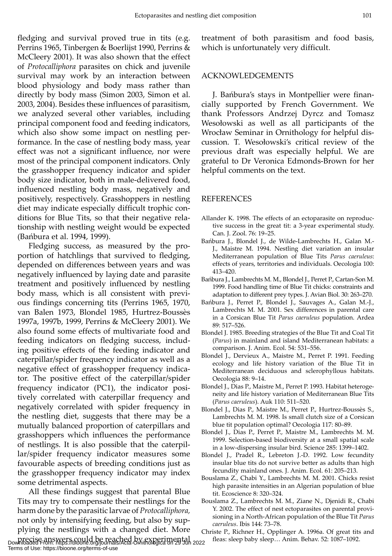fledging and survival proved true in tits (e.g. Perrins 1965, Tinbergen & Boerlijst 1990, Perrins & McCleery 2001). It was also shown that the effect of *Protocalliphora* parasites on chick and juvenile survival may work by an interaction between blood physiology and body mass rather than directly by body mass (Simon 2003, Simon et al. 2003, 2004). Besides these influences of parasitism, we analyzed several other variables, including principal component food and feeding indicators, which also show some impact on nestling performance. In the case of nestling body mass, year effect was not a significant influence, nor were most of the principal component indicators. Only the grasshopper frequency indicator and spider body size indicator, both in male-delivered food, influenced nestling body mass, negatively and positively, respectively. Grasshoppers in nestling diet may indicate especially difficult trophic conditions for Blue Tits, so that their negative relationship with nestling weight would be expected (Bańbura et al. 1994, 1999).

Fledging success, as measured by the proportion of hatchlings that survived to fledging, depended on differences between years and was negatively influenced by laying date and parasite treatment and positively influenced by nestling body mass, which is all consistent with previous findings concerning tits (Perrins 1965, 1970, van Balen 1973, Blondel 1985, Hurtrez-Boussès 1997a, 1997b, 1999, Perrins & McCleery 2001). We also found some effects of multivariate food and feeding indicators on fledging success, including positive effects of the feeding indicator and caterpillar/spider frequency indicator as well as a negative effect of grasshopper frequency indicator. The positive effect of the caterpillar/spider frequency indicator (PC1), the indicator positively correlated with caterpillar frequency and negatively correlated with spider frequency in the nestling diet, suggests that there may be a mutually balanced proportion of caterpillars and grasshoppers which influences the performance of nestlings. It is also possible that the caterpillar/spider frequency indicator measures some favourable aspects of breeding conditions just as the grasshopper frequency indicator may index some detrimental aspects.

All these findings suggest that parental Blue Tits may try to compensate their nestlings for the harm done by the parasitic larvae of *Protocalliphora,* not only by intensifying feeding, but also by supplying the nestlings with a changed diet. More precise answers could be reached by experimental fleas: sleep baby sleep… Anim. Behav. 52: 1087–1092. Downloaded From: https://bioone.org/journals/Acta-Ornithologica on 29 Jun 2022

Terms of Use: https://bioone.org/terms-of-use

treatment of both parasitism and food basis, which is unfortunately very difficult.

#### ACKNOWLEDGEMENTS

J. Bańbura's stays in Montpellier were financially supported by French Government. We thank Professors Andrzej Dyrcz and Tomasz Wesołowski as well as all participants of the Wrocław Seminar in Ornithology for helpful discussion. T. Wesołowski's critical review of the previous draft was especially helpful. We are grateful to Dr Veronica Edmonds-Brown for her helpful comments on the text.

#### REFERENCES

- Allander K. 1998. The effects of an ectoparasite on reproductive success in the great tit: a 3-year experimental study. Can. J. Zool. 76: 19–25.
- Bańbura J., Blondel J., de Wilde-Lambrechts H., Galan M.- J., Maistre M. 1994. Nestling diet variation an insular Mediterranean population of Blue Tits *Parus caeruleus*: effects of years, territories and individuals. Oecologia 100: 413–420.
- Bańbura J., Lambrechts M. M., Blondel J., Perret P., Cartan-Son M. 1999. Food handling time of Blue Tit chicks: constraints and adaptation to different prey types. J. Avian Biol. 30: 263–270.
- Bańbura J., Perret P., Blondel J., Sauvages A., Galan M.-J., Lambrechts M. M. 2001. Sex differences in parental care in a Corsican Blue Tit *Parus caeruleus* population. Ardea 89: 517–526.
- Blondel J. 1985. Breeding strategies of the Blue Tit and Coal Tit (*Parus*) in mainland and island Mediterranean habitats: a comparison. J. Anim. Ecol. 54: 531–556.
- Blondel J., Dervieux A., Maistre M., Perret P. 1991. Feeding ecology and life history variation of the Blue Tit in Mediterranean deciduous and sclerophyllous habitats. Oecologia 88: 9–14.
- Blondel J., Dias P., Maistre M., Perret P. 1993. Habitat heterogeneity and life history variation of Mediterranean Blue Tits (*Parus caeruleus*). Auk 110: 511–520.
- Blondel J., Dias P., Maistre M., Perret P., Hurtrez-Boussès S., Lambrechts M. M. 1998. Is small clutch size of a Corsican blue tit population optimal? Oecologia 117: 80–89.
- Blondel J., Dias P., Perret P., Maistre M., Lambrechts M. M. 1999. Selection-based biodiversity at a small spatial scale in a low-dispersing insular bird. Science 285: 1399–1402.
- Blondel J., Pradel R., Lebreton J.-D. 1992. Low fecundity insular blue tits do not survive better as adults than high fecundity mainland ones. J. Anim. Ecol. 61: 205–213.
- Bouslama Z., Chabi Y., Lambrechts M. M. 2001. Chicks resist high parasite intensities in an Algerian population of blue tit. Ecoscience 8: 320–324.
- Bouslama Z., Lambrechts M. M., Ziane N., Djenidi R., Chabi Y. 2002. The effect of nest ectoparasites on parental provisioning in a North-African population of the Blue Tit *Parus caeruleus*. Ibis 144: 73–78.
- Christe P., Richner H., Opplinger A. 1996a. Of great tits and fleas: sleep baby sleep... Anim. Behav. 52: 1087–1092.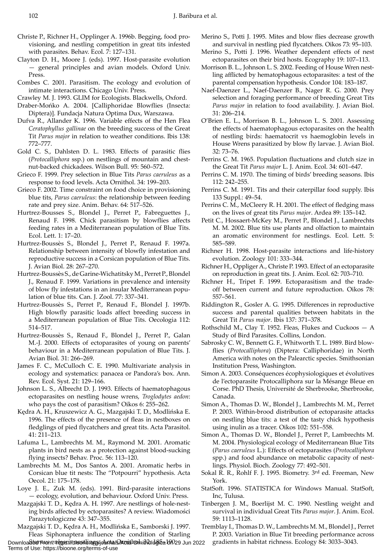- Christe P., Richner H., Opplinger A. 1996b. Begging, food provisioning, and nestling competition in great tits infested with parasites. Behav. Ecol. 7: 127–131.
- Clayton D. H., Moore J. (eds). 1997. Host-parasite evolution — general principles and avian models. Oxford Univ. Press.
- Combes C. 2001. Parasitism. The ecology and evolution of intimate interactions. Chicago Univ. Press.
- Crawley M. J. 1993. GLIM for Ecologists. Blackwells, Oxford.
- Draber-Mońko A. 2004. [Calliphoridae Blowflies (Insecta: Diptera)]. Fundacja Natura Optima Dux, Warszawa.
- Dufva R., Allander K. 1996. Variable effects of the Hen Flea *Ceratophyllus gallinae* on the breeding success of the Great Tit *Parus major* in relation to weather conditions. Ibis 138: 772–777.
- Gold C. S., Dahlsten D. L. 1983. Effects of parasitic flies (*Protocalliphora* ssp.) on nestlings of mountain and chestnut-backed chickadees. Wilson Bull. 95: 560–572.
- Grieco F. 1999. Prey selection in Blue Tits *Parus caeruleus* as a response to food levels. Acta Ornithol. 34: 199–203.
- Grieco F. 2002. Time constraint on food choice in provisioning blue tits, *Parus caeruleus*: the relationship between feeding rate and prey size. Anim. Behav. 64: 517–526.
- Hurtrez-Bousses S., Blondel J., Perret P., Fabreguettes J., Renaud F. 1998. Chick parasitism by blowflies affects feeding rates in a Mediterranean population of Blue Tits. Ecol. Lett. 1: 17–20.
- Hurtrez-Boussès S., Blondel J., Perret P., Renaud F. 1997a. Relationship between intensity of blowfly infestation and reproductive success in a Corsican population of Blue Tits. J. Avian Biol. 28: 267–270.
- Hurtrez-Boussès S., de Garine-Wichatitsky M., Perret P., Blondel J., Renaud F. 1999. Variations in prevalence and intensity of blow fly infestations in an insular Mediterranean population of blue tits. Can. J. Zool. 77: 337–341.
- Hurtrez-Boussès S., Perret P., Renaud F., Blondel J. 1997b. High blowfly parasitic loads affect breeding success in a Mediterranean population of Blue Tits. Oecologia 112: 514–517.
- Hurtrez-Boussès S., Renaud F., Blondel J., Perret P., Galan M.-J. 2000. Effects of ectoparasites of young on parents' behaviour in a Mediterranean population of Blue Tits. J. Avian Biol. 31: 266–269.
- James F. C., McCulloch C. E. 1990. Multivariate analysis in ecology and systematics: panacea or Pandora's box. Ann. Rev. Ecol. Syst. 21: 129–166.
- Johnson L. S., Albrecht D. J. 1993. Effects of haematophagous ectoparasites on nestling house wrens, *Troglodytes aedon*: who pays the cost of parasitism? Oikos 6: 255–262.
- Kędra A. H., Kruszewicz A. G., Mazgajski T. D., Modlińska E. 1996. The effects of the presence of fleas in nestboxes on fledglings of pied flycatchers and great tits. Acta Parasitol. 41: 211–213.
- Lafuma L., Lambrechts M. M., Raymond M. 2001. Aromatic plants in bird nests as a protection against blood-sucking flying insects? Behav. Proc. 56: 113–120.
- Lambrechts M. M., Dos Santos A. 2001. Aromatic herbs in Corsican blue tit nests: The "Potpourri" hypothesis. Acta Oecol. 21: 175–178.
- Loye J. E., Zuk M. (eds). 1991. Bird-parasite interactions — ecology, evolution, and behaviour. Oxford Univ. Press.
- Mazgajski T. D., Kędra A. H. 1997. Are nestlings of hole-nesting birds affected by ectoparasites? A review. Wiadomości Parazytologiczne 43: 347–355.
- Mazgajski T. D., Kędra A. H., Modlińska E., Samborski J. 1997. Fleas Siphonaptera influence the condition of Starling

Downloadbo*o From: https://biooneli.negg/journals/A*ctuals/Actabra.htmld@nicals/Acta Jun 2022 gradients in habitat richness. Ecology 84: 3033–3043. Terms of Use: https://bioone.org/terms-of-use

- Merino S., Potti J. 1995. Mites and blow flies decrease growth and survival in nestling pied flycatchers. Oikos 73: 95–103.
- Merino S., Potti J. 1996. Weather dependent effects of nest ectoparasites on their bird hosts. Ecography 19: 107–113.
- Morrison B. L., Johnson L. S. 2002. Feeding of House Wren nestling afflicted by hematophagous ectoparasites: a test of the parental compensation hypothesis. Condor 104: 183–187.
- Naef-Daenzer L., Naef-Daenzer B., Nager R. G. 2000. Prey selection and foraging performance of breeding Great Tits *Parus major* in relation to food availability. J. Avian Biol. 31: 206–214.
- O'Brien E. L., Morrison B. L., Johnson L. S. 2001. Assessing the effects of haematophagous ectoparasites on the health of nestling birds: haematocrit vs haemoglobin levels in House Wrens parasitized by blow fly larvae. J. Avian Biol. 32: 73–76.
- Perrins C. M. 1965. Population fluctuations and clutch size in the Great Tit *Parus major* L. J. Anim. Ecol. 34: 601–647.
- Perrins C. M. 1970. The timing of birds' breeding seasons. Ibis 112: 242–255.
- Perrins C. M. 1991. Tits and their caterpillar food supply. Ibis 133 Suppl.: 49–54.
- Perrins C. M., McCleery R. H. 2001. The effect of fledging mass on the lives of great tits *Parus major*. Ardea 89: 135–142.
- Petit C., Hossaert-McKey M., Perret P., Blondel J., Lambrechts M. M. 2002. Blue tits use plants and olfaction to maintain an aromatic environment for nestlings. Ecol. Lett. 5: 585–589.
- Richner H. 1998. Host-parasite interactions and life-history evolution. Zoology 101: 333–344.
- Richner H., Oppliger A., Christe P. 1993. Effect of an ectoparasite on reproduction in great tits. J. Anim. Ecol. 62: 703–710.
- Richner H., Tripet F. 1999. Ectoparasitism and the tradeoff between current and future reproduction. Oikos 78: 557–561.
- Riddington R., Gosler A. G. 1995. Differences in reproductive success and parental qualities between habitats in the Great Tit *Parus major*. Ibis 137: 371–378.
- Rothschild M., Clay T. 1952. Fleas, Flukes and Cuckoos A Study of Bird Parasites. Collins, London.
- Sabrosky C. W., Bennett G. F., Whitworth T. L. 1989. Bird blowflies (*Protocalliphora*) (Diptera: Calliphoridae) in North America with notes on the Palearctic species. Smithsonian Institution Press, Washington.
- Simon A. 2003. Conséquences écophysiologiques et évolutives de l'ectoparasite Protocalliphora sur la Mésange Bleue en Corse. PhD Thesis, Université de Sherbrooke, Sherbrooke, Canada.
- Simon A., Thomas D. W., Blondel J., Lambrechts M. M., Perret P. 2003. Within-brood distribution of ectoparasite attacks on nestling blue tits: a test of the tasty chick hypothesis using inulin as a tracer. Oikos 102: 551–558.
- Simon A., Thomas D. W., Blondel J., Perret P., Lambrechts M. M. 2004. Physiological ecology of Mediterranean Blue Tits (*Parus caeruleus* L.): Effects of ectoparasites (*Protocalliphora* spp.) and food abundance on metabolic capacity of nestlings. Physiol. Bioch. Zoology 77: 492–501.
- Sokal R. R., Rohlf F. J. 1995. Biometry. 3rd ed. Freeman, New York.
- StatSoft. 1996. STATISTICA for Windows Manual. StatSoft, Inc, Tulusa.
- Tinbergen J. M., Boerlijst M. C. 1990. Nestling weight and survival in individual Great Tits *Parus major*. J. Anim. Ecol. 59: 1113–1128.
- Tremblay I., Thomas D. W., Lambrechts M. M., Blondel J., Perret P. 2003. Variation in Blue Tit breeding performance across
-